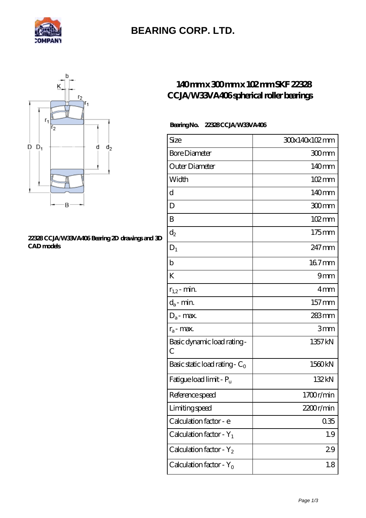

## **[BEARING CORP. LTD.](https://mamzellealacote.com)**



#### **[22328 CCJA/W33VA406 Bearing 2D drawings and 3D](https://mamzellealacote.com/pic-398835.html) [CAD models](https://mamzellealacote.com/pic-398835.html)**

### **[140 mm x 300 mm x 102 mm SKF 22328](https://mamzellealacote.com/am-398835-skf-22328-ccja-w33va406-spherical-roller-bearings.html) [CCJA/W33VA406 spherical roller bearings](https://mamzellealacote.com/am-398835-skf-22328-ccja-w33va406-spherical-roller-bearings.html)**

### **Bearing No. 22328 CCJA/W33VA406**

| Size                                 | 30x140x102mm        |
|--------------------------------------|---------------------|
| <b>Bore Diameter</b>                 | 300mm               |
| Outer Diameter                       | 140mm               |
| Width                                | 102mm               |
| d                                    | 140mm               |
| D                                    | 300mm               |
| B                                    | $102 \,\mathrm{mm}$ |
| $\mathrm{d}_2$                       | 175mm               |
| $D_1$                                | 247 mm              |
| $\mathbf b$                          | 167mm               |
| K                                    | 9mm                 |
| $r_{1,2}$ - min.                     | 4mm                 |
| $d_a$ - min.                         | 157 <sub>mm</sub>   |
| $\mathbf{D}_\mathrm{a}\text{-}$ max. | 283mm               |
| $r_a$ - max.                         | 3mm                 |
| Basic dynamic load rating-<br>С      | 1357 kN             |
| Basic static load rating - $C_0$     | 1560kN              |
| Fatigue load limit - P <sub>u</sub>  | 132kN               |
| Reference speed                      | 1700r/min           |
| Limiting speed                       | 2200r/min           |
| Calculation factor - e               | 035                 |
| Calculation factor - $Y_1$           | 1.9                 |
| Calculation factor - $Y_2$           | 29                  |
| Calculation factor - $Y_0$           | 1.8                 |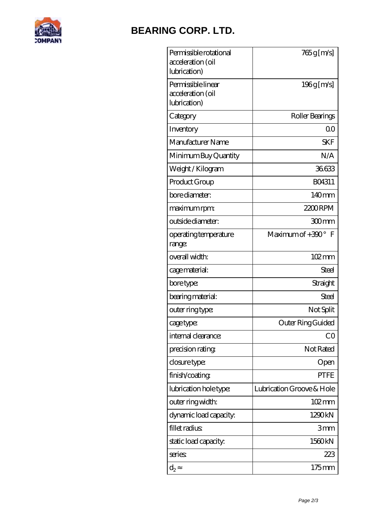

# **[BEARING CORP. LTD.](https://mamzellealacote.com)**

| Permissible rotational<br>acceleration (oil<br>lubrication) | 765g [m/s]                |
|-------------------------------------------------------------|---------------------------|
| Permissible linear<br>acceleration (oil<br>lubrication)     | $196g$ [m/s]              |
| Category                                                    | Roller Bearings           |
| Inventory                                                   | 0 <sup>0</sup>            |
| Manufacturer Name                                           | SKF                       |
| Minimum Buy Quantity                                        | N/A                       |
| Weight /Kilogram                                            | 36633                     |
| Product Group                                               | BO4311                    |
| bore diameter:                                              | $140$ <sub>mm</sub>       |
| maximum rpm:                                                | 2200RPM                   |
| outside diameter:                                           | 300mm                     |
| operating temperature<br>range:                             | Maximum of $+390^\circ$ F |
| overall width:                                              | 102mm                     |
| cage material:                                              | <b>Steel</b>              |
| bore type:                                                  | Straight                  |
| bearing material:                                           | Steel                     |
| outer ring type:                                            | Not Split                 |
| cage type:                                                  | Outer Ring Guided         |
| internal clearance:                                         | CO                        |
| precision rating                                            | Not Rated                 |
| closure type:                                               | Open                      |
| finish/coating                                              | <b>PTFE</b>               |
| lubrication hole type:                                      | Lubrication Groove & Hole |
| outer ring width:                                           | $102 \,\mathrm{mm}$       |
| dynamic load capacity:                                      | 1290kN                    |
| fillet radius                                               | 3mm                       |
| static load capacity.                                       | 1560kN                    |
| series                                                      | 223                       |
| $\mathrm{d}_2$                                              | 175mm                     |